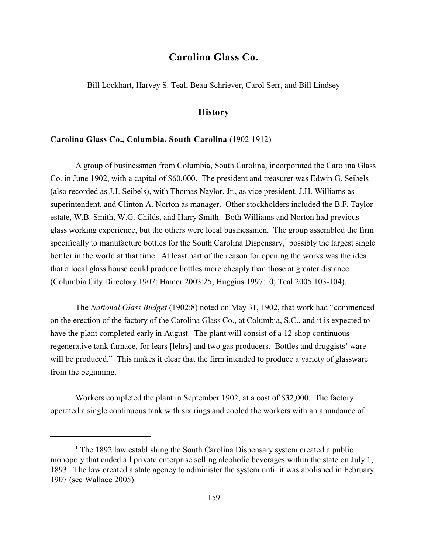# **Carolina Glass Co.**

Bill Lockhart, Harvey S. Teal, Beau Schriever, Carol Serr, and Bill Lindsey

## **History**

#### **Carolina Glass Co., Columbia, South Carolina** (1902-1912)

A group of businessmen from Columbia, South Carolina, incorporated the Carolina Glass Co. in June 1902, with a capital of \$60,000. The president and treasurer was Edwin G. Seibels (also recorded as J.J. Seibels), with Thomas Naylor, Jr., as vice president, J.H. Williams as superintendent, and Clinton A. Norton as manager. Other stockholders included the B.F. Taylor estate, W.B. Smith, W.G. Childs, and Harry Smith. Both Williams and Norton had previous glass working experience, but the others were local businessmen. The group assembled the firm specifically to manufacture bottles for the South Carolina Dispensary, $\frac{1}{2}$  possibly the largest single bottler in the world at that time. At least part of the reason for opening the works was the idea that a local glass house could produce bottles more cheaply than those at greater distance (Columbia City Directory 1907; Hamer 2003:25; Huggins 1997:10; Teal 2005:103-104).

The *National Glass Budget* (1902:8) noted on May 31, 1902, that work had "commenced on the erection of the factory of the Carolina Glass Co., at Columbia, S.C., and it is expected to have the plant completed early in August. The plant will consist of a 12-shop continuous regenerative tank furnace, for lears [lehrs] and two gas producers. Bottles and druggists' ware will be produced." This makes it clear that the firm intended to produce a variety of glassware from the beginning.

Workers completed the plant in September 1902, at a cost of \$32,000. The factory operated a single continuous tank with six rings and cooled the workers with an abundance of

 $1$ <sup>1</sup> The 1892 law establishing the South Carolina Dispensary system created a public monopoly that ended all private enterprise selling alcoholic beverages within the state on July 1, 1893. The law created a state agency to administer the system until it was abolished in February 1907 (see Wallace 2005).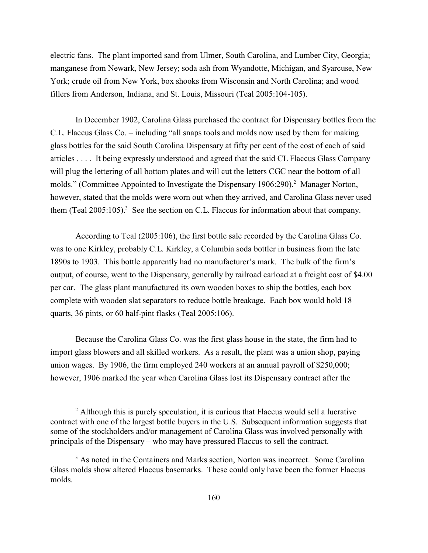electric fans. The plant imported sand from Ulmer, South Carolina, and Lumber City, Georgia; manganese from Newark, New Jersey; soda ash from Wyandotte, Michigan, and Syarcuse, New York; crude oil from New York, box shooks from Wisconsin and North Carolina; and wood fillers from Anderson, Indiana, and St. Louis, Missouri (Teal 2005:104-105).

In December 1902, Carolina Glass purchased the contract for Dispensary bottles from the C.L. Flaccus Glass Co. – including "all snaps tools and molds now used by them for making glass bottles for the said South Carolina Dispensary at fifty per cent of the cost of each of said articles . . . . It being expressly understood and agreed that the said CL Flaccus Glass Company will plug the lettering of all bottom plates and will cut the letters CGC near the bottom of all molds." (Committee Appointed to Investigate the Dispensary 1906:290).<sup>2</sup> Manager Norton, however, stated that the molds were worn out when they arrived, and Carolina Glass never used them (Teal 2005:105).<sup>3</sup> See the section on C.L. Flaccus for information about that company.

According to Teal (2005:106), the first bottle sale recorded by the Carolina Glass Co. was to one Kirkley, probably C.L. Kirkley, a Columbia soda bottler in business from the late 1890s to 1903. This bottle apparently had no manufacturer's mark. The bulk of the firm's output, of course, went to the Dispensary, generally by railroad carload at a freight cost of \$4.00 per car. The glass plant manufactured its own wooden boxes to ship the bottles, each box complete with wooden slat separators to reduce bottle breakage. Each box would hold 18 quarts, 36 pints, or 60 half-pint flasks (Teal 2005:106).

Because the Carolina Glass Co. was the first glass house in the state, the firm had to import glass blowers and all skilled workers. As a result, the plant was a union shop, paying union wages. By 1906, the firm employed 240 workers at an annual payroll of \$250,000; however, 1906 marked the year when Carolina Glass lost its Dispensary contract after the

 $2$  Although this is purely speculation, it is curious that Flaccus would sell a lucrative contract with one of the largest bottle buyers in the U.S. Subsequent information suggests that some of the stockholders and/or management of Carolina Glass was involved personally with principals of the Dispensary – who may have pressured Flaccus to sell the contract.

<sup>&</sup>lt;sup>3</sup> As noted in the Containers and Marks section, Norton was incorrect. Some Carolina Glass molds show altered Flaccus basemarks. These could only have been the former Flaccus molds.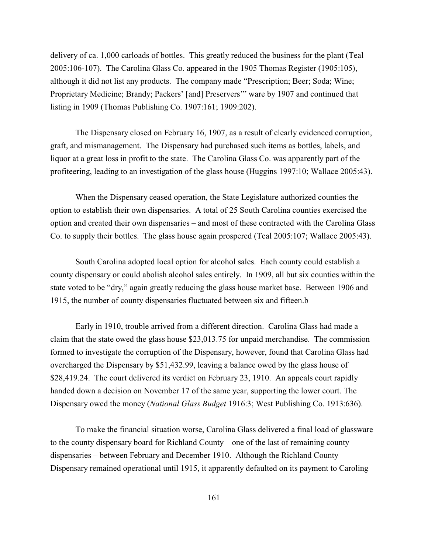delivery of ca. 1,000 carloads of bottles. This greatly reduced the business for the plant (Teal 2005:106-107). The Carolina Glass Co. appeared in the 1905 Thomas Register (1905:105), although it did not list any products. The company made "Prescription; Beer; Soda; Wine; Proprietary Medicine; Brandy; Packers' [and] Preservers'" ware by 1907 and continued that listing in 1909 (Thomas Publishing Co. 1907:161; 1909:202).

The Dispensary closed on February 16, 1907, as a result of clearly evidenced corruption, graft, and mismanagement. The Dispensary had purchased such items as bottles, labels, and liquor at a great loss in profit to the state. The Carolina Glass Co. was apparently part of the profiteering, leading to an investigation of the glass house (Huggins 1997:10; Wallace 2005:43).

When the Dispensary ceased operation, the State Legislature authorized counties the option to establish their own dispensaries. A total of 25 South Carolina counties exercised the option and created their own dispensaries – and most of these contracted with the Carolina Glass Co. to supply their bottles. The glass house again prospered (Teal 2005:107; Wallace 2005:43).

South Carolina adopted local option for alcohol sales. Each county could establish a county dispensary or could abolish alcohol sales entirely. In 1909, all but six counties within the state voted to be "dry," again greatly reducing the glass house market base. Between 1906 and 1915, the number of county dispensaries fluctuated between six and fifteen.b

Early in 1910, trouble arrived from a different direction. Carolina Glass had made a claim that the state owed the glass house \$23,013.75 for unpaid merchandise. The commission formed to investigate the corruption of the Dispensary, however, found that Carolina Glass had overcharged the Dispensary by \$51,432.99, leaving a balance owed by the glass house of \$28,419.24. The court delivered its verdict on February 23, 1910. An appeals court rapidly handed down a decision on November 17 of the same year, supporting the lower court. The Dispensary owed the money (*National Glass Budget* 1916:3; West Publishing Co. 1913:636).

To make the financial situation worse, Carolina Glass delivered a final load of glassware to the county dispensary board for Richland County – one of the last of remaining county dispensaries – between February and December 1910. Although the Richland County Dispensary remained operational until 1915, it apparently defaulted on its payment to Caroling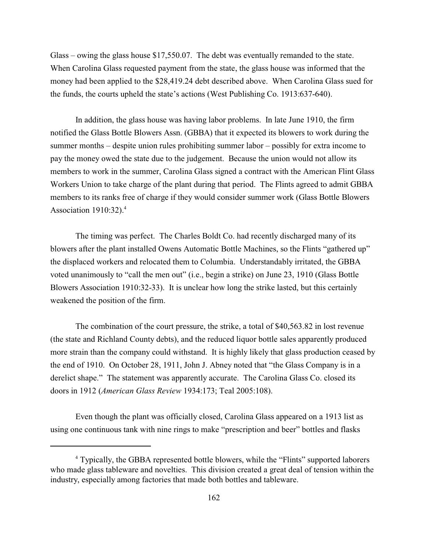Glass – owing the glass house \$17,550.07. The debt was eventually remanded to the state. When Carolina Glass requested payment from the state, the glass house was informed that the money had been applied to the \$28,419.24 debt described above. When Carolina Glass sued for the funds, the courts upheld the state's actions (West Publishing Co. 1913:637-640).

In addition, the glass house was having labor problems. In late June 1910, the firm notified the Glass Bottle Blowers Assn. (GBBA) that it expected its blowers to work during the summer months – despite union rules prohibiting summer labor – possibly for extra income to pay the money owed the state due to the judgement. Because the union would not allow its members to work in the summer, Carolina Glass signed a contract with the American Flint Glass Workers Union to take charge of the plant during that period. The Flints agreed to admit GBBA members to its ranks free of charge if they would consider summer work (Glass Bottle Blowers Association  $1910:32$ ).<sup>4</sup>

The timing was perfect. The Charles Boldt Co. had recently discharged many of its blowers after the plant installed Owens Automatic Bottle Machines, so the Flints "gathered up" the displaced workers and relocated them to Columbia. Understandably irritated, the GBBA voted unanimously to "call the men out" (i.e., begin a strike) on June 23, 1910 (Glass Bottle Blowers Association 1910:32-33). It is unclear how long the strike lasted, but this certainly weakened the position of the firm.

The combination of the court pressure, the strike, a total of \$40,563.82 in lost revenue (the state and Richland County debts), and the reduced liquor bottle sales apparently produced more strain than the company could withstand. It is highly likely that glass production ceased by the end of 1910. On October 28, 1911, John J. Abney noted that "the Glass Company is in a derelict shape." The statement was apparently accurate. The Carolina Glass Co. closed its doors in 1912 (*American Glass Review* 1934:173; Teal 2005:108).

Even though the plant was officially closed, Carolina Glass appeared on a 1913 list as using one continuous tank with nine rings to make "prescription and beer" bottles and flasks

<sup>&</sup>lt;sup>4</sup> Typically, the GBBA represented bottle blowers, while the "Flints" supported laborers who made glass tableware and novelties. This division created a great deal of tension within the industry, especially among factories that made both bottles and tableware.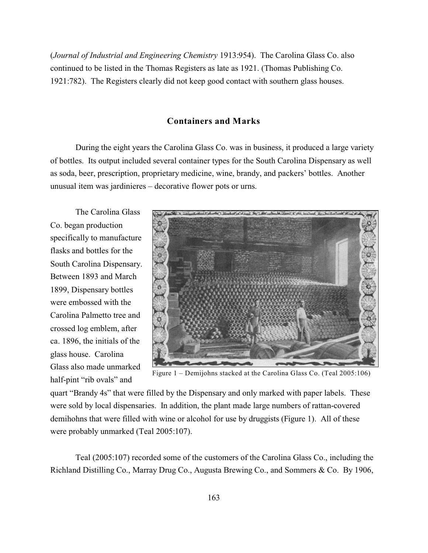(*Journal of Industrial and Engineering Chemistry* 1913:954). The Carolina Glass Co. also continued to be listed in the Thomas Registers as late as 1921. (Thomas Publishing Co. 1921:782). The Registers clearly did not keep good contact with southern glass houses.

### **Containers and Marks**

During the eight years the Carolina Glass Co. was in business, it produced a large variety of bottles. Its output included several container types for the South Carolina Dispensary as well as soda, beer, prescription, proprietary medicine, wine, brandy, and packers' bottles. Another unusual item was jardinieres – decorative flower pots or urns.

The Carolina Glass Co. began production specifically to manufacture flasks and bottles for the South Carolina Dispensary. Between 1893 and March 1899, Dispensary bottles were embossed with the Carolina Palmetto tree and crossed log emblem, after ca. 1896, the initials of the glass house. Carolina Glass also made unmarked half-pint "rib ovals" and



Figure 1 – Demijohns stacked at the Carolina Glass Co. (Teal 2005:106)

quart "Brandy 4s" that were filled by the Dispensary and only marked with paper labels. These were sold by local dispensaries. In addition, the plant made large numbers of rattan-covered demihohns that were filled with wine or alcohol for use by druggists (Figure 1). All of these were probably unmarked (Teal 2005:107).

Teal (2005:107) recorded some of the customers of the Carolina Glass Co., including the Richland Distilling Co., Marray Drug Co., Augusta Brewing Co., and Sommers & Co. By 1906,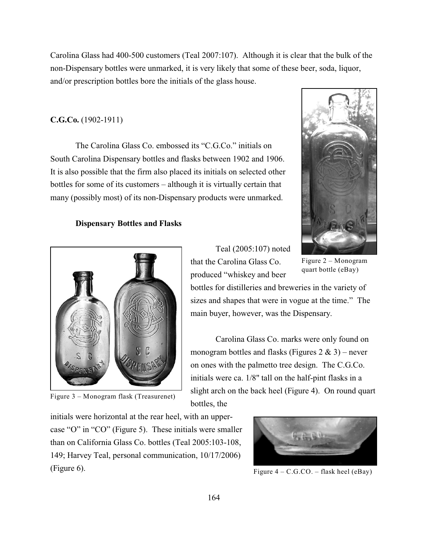Carolina Glass had 400-500 customers (Teal 2007:107). Although it is clear that the bulk of the non-Dispensary bottles were unmarked, it is very likely that some of these beer, soda, liquor, and/or prescription bottles bore the initials of the glass house.

#### **C.G.Co.** (1902-1911)

The Carolina Glass Co. embossed its "C.G.Co." initials on South Carolina Dispensary bottles and flasks between 1902 and 1906. It is also possible that the firm also placed its initials on selected other bottles for some of its customers – although it is virtually certain that many (possibly most) of its non-Dispensary products were unmarked.

#### **Dispensary Bottles and Flasks**



Figure 3 – Monogram flask (Treasurenet)

Teal (2005:107) noted that the Carolina Glass Co. produced "whiskey and beer

Figure 2 – Monogram quart bottle (eBay)

bottles for distilleries and breweries in the variety of sizes and shapes that were in vogue at the time." The main buyer, however, was the Dispensary.

Carolina Glass Co. marks were only found on monogram bottles and flasks (Figures  $2 \& 3$ ) – never on ones with the palmetto tree design. The C.G.Co. initials were ca. 1/8" tall on the half-pint flasks in a slight arch on the back heel (Figure 4). On round quart bottles, the

initials were horizontal at the rear heel, with an uppercase "O" in "CO" (Figure 5). These initials were smaller than on California Glass Co. bottles (Teal 2005:103-108, 149; Harvey Teal, personal communication, 10/17/2006) (Figure 6).



Figure  $4 - C.G.CO. - flask heel (eBay)$ 

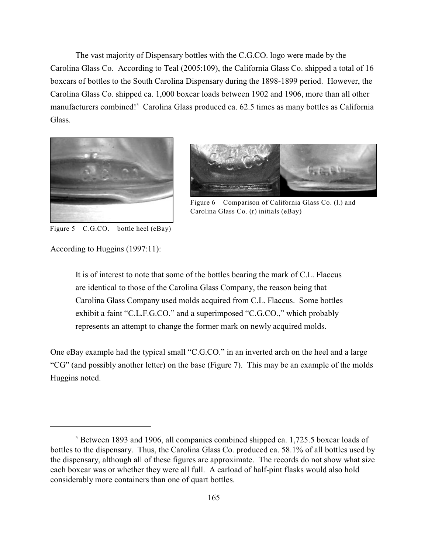The vast majority of Dispensary bottles with the C.G.CO. logo were made by the Carolina Glass Co. According to Teal (2005:109), the California Glass Co. shipped a total of 16 boxcars of bottles to the South Carolina Dispensary during the 1898-1899 period. However, the Carolina Glass Co. shipped ca. 1,000 boxcar loads between 1902 and 1906, more than all other manufacturers combined!<sup>5</sup> Carolina Glass produced ca.  $62.5$  times as many bottles as California Glass.





Figure 6 – Comparison of California Glass Co. (l.) and Carolina Glass Co. (r) initials (eBay)

Figure  $5 - C.G.CO. - bottle heel (eBay)$ 

According to Huggins (1997:11):

It is of interest to note that some of the bottles bearing the mark of C.L. Flaccus are identical to those of the Carolina Glass Company, the reason being that Carolina Glass Company used molds acquired from C.L. Flaccus. Some bottles exhibit a faint "C.L.F.G.CO." and a superimposed "C.G.CO.," which probably represents an attempt to change the former mark on newly acquired molds.

One eBay example had the typical small "C.G.CO." in an inverted arch on the heel and a large "CG" (and possibly another letter) on the base (Figure 7). This may be an example of the molds Huggins noted.

 $5$  Between 1893 and 1906, all companies combined shipped ca. 1,725.5 boxcar loads of bottles to the dispensary. Thus, the Carolina Glass Co. produced ca. 58.1% of all bottles used by the dispensary, although all of these figures are approximate. The records do not show what size each boxcar was or whether they were all full. A carload of half-pint flasks would also hold considerably more containers than one of quart bottles.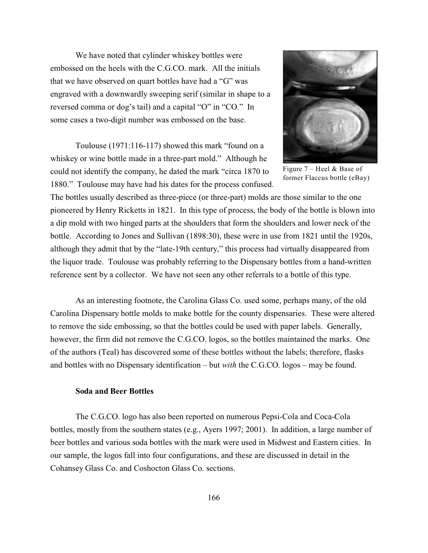We have noted that cylinder whiskey bottles were embossed on the heels with the C.G.CO. mark. All the initials that we have observed on quart bottles have had a "G" was engraved with a downwardly sweeping serif (similar in shape to a reversed comma or dog's tail) and a capital "O" in "CO." In some cases a two-digit number was embossed on the base.

Toulouse (1971:116-117) showed this mark "found on a whiskey or wine bottle made in a three-part mold." Although he could not identify the company, he dated the mark "circa 1870 to 1880." Toulouse may have had his dates for the process confused.



Figure  $7$  – Heel & Base of former Flaccus bottle (eBay)

The bottles usually described as three-piece (or three-part) molds are those similar to the one pioneered by Henry Ricketts in 1821. In this type of process, the body of the bottle is blown into a dip mold with two hinged parts at the shoulders that form the shoulders and lower neck of the bottle. According to Jones and Sullivan (1898:30), these were in use from 1821 until the 1920s, although they admit that by the "late-19th century," this process had virtually disappeared from the liquor trade. Toulouse was probably referring to the Dispensary bottles from a hand-written reference sent by a collector. We have not seen any other referrals to a bottle of this type.

As an interesting footnote, the Carolina Glass Co. used some, perhaps many, of the old Carolina Dispensary bottle molds to make bottle for the county dispensaries. These were altered to remove the side embossing, so that the bottles could be used with paper labels. Generally, however, the firm did not remove the C.G.CO. logos, so the bottles maintained the marks. One of the authors (Teal) has discovered some of these bottles without the labels; therefore, flasks and bottles with no Dispensary identification – but *with* the C.G.CO. logos – may be found.

#### **Soda and Beer Bottles**

The C.G.CO. logo has also been reported on numerous Pepsi-Cola and Coca-Cola bottles, mostly from the southern states (e.g., Ayers 1997; 2001). In addition, a large number of beer bottles and various soda bottles with the mark were used in Midwest and Eastern cities. In our sample, the logos fall into four configurations, and these are discussed in detail in the Cohansey Glass Co. and Coshocton Glass Co. sections.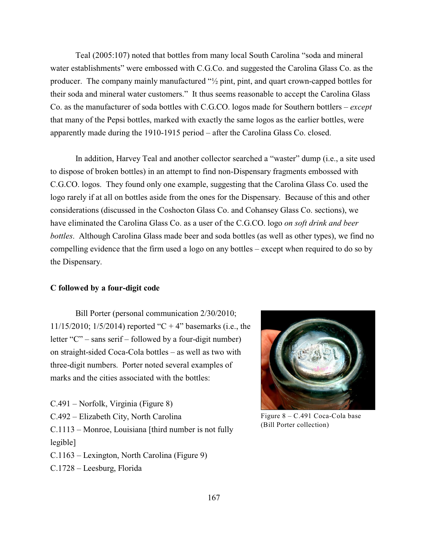Teal (2005:107) noted that bottles from many local South Carolina "soda and mineral water establishments" were embossed with C.G.Co. and suggested the Carolina Glass Co. as the producer. The company mainly manufactured "½ pint, pint, and quart crown-capped bottles for their soda and mineral water customers." It thus seems reasonable to accept the Carolina Glass Co. as the manufacturer of soda bottles with C.G.CO. logos made for Southern bottlers – *except* that many of the Pepsi bottles, marked with exactly the same logos as the earlier bottles, were apparently made during the 1910-1915 period – after the Carolina Glass Co. closed.

In addition, Harvey Teal and another collector searched a "waster" dump (i.e., a site used to dispose of broken bottles) in an attempt to find non-Dispensary fragments embossed with C.G.CO. logos. They found only one example, suggesting that the Carolina Glass Co. used the logo rarely if at all on bottles aside from the ones for the Dispensary. Because of this and other considerations (discussed in the Coshocton Glass Co. and Cohansey Glass Co. sections), we have eliminated the Carolina Glass Co. as a user of the C.G.CO. logo *on soft drink and beer bottles*. Although Carolina Glass made beer and soda bottles (as well as other types), we find no compelling evidence that the firm used a logo on any bottles – except when required to do so by the Dispensary.

#### **C followed by a four-digit code**

Bill Porter (personal communication 2/30/2010; 11/15/2010; 1/5/2014) reported "C + 4" basemarks (i.e., the letter "C" – sans serif – followed by a four-digit number) on straight-sided Coca-Cola bottles – as well as two with three-digit numbers. Porter noted several examples of marks and the cities associated with the bottles:

C.491 – Norfolk, Virginia (Figure 8) C.492 – Elizabeth City, North Carolina C.1113 – Monroe, Louisiana [third number is not fully legible] C.1163 – Lexington, North Carolina (Figure 9)

C.1728 – Leesburg, Florida



Figure 8 – C.491 Coca-Cola base (Bill Porter collection)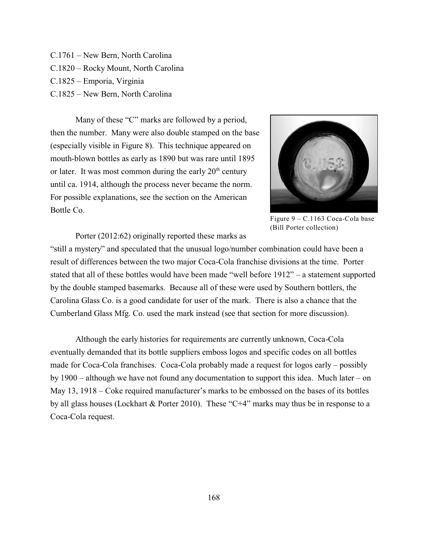- C.1761 New Bern, North Carolina C.1820 – Rocky Mount, North Carolina C.1825 – Emporia, Virginia
- 
- C.1825 New Bern, North Carolina

Many of these "C" marks are followed by a period, then the number. Many were also double stamped on the base (especially visible in Figure 8). This technique appeared on mouth-blown bottles as early as 1890 but was rare until 1895 or later. It was most common during the early  $20<sup>th</sup>$  century until ca. 1914, although the process never became the norm. For possible explanations, see the section on the American Bottle Co.



Figure 9 – C.1163 Coca-Cola base (Bill Porter collection)

Porter (2012:62) originally reported these marks as

"still a mystery" and speculated that the unusual logo/number combination could have been a result of differences between the two major Coca-Cola franchise divisions at the time. Porter stated that all of these bottles would have been made "well before 1912" – a statement supported by the double stamped basemarks. Because all of these were used by Southern bottlers, the Carolina Glass Co. is a good candidate for user of the mark. There is also a chance that the Cumberland Glass Mfg. Co. used the mark instead (see that section for more discussion).

Although the early histories for requirements are currently unknown, Coca-Cola eventually demanded that its bottle suppliers emboss logos and specific codes on all bottles made for Coca-Cola franchises. Coca-Cola probably made a request for logos early – possibly by 1900 – although we have not found any documentation to support this idea. Much later – on May 13, 1918 – Coke required manufacturer's marks to be embossed on the bases of its bottles by all glass houses (Lockhart & Porter 2010). These "C+4" marks may thus be in response to a Coca-Cola request.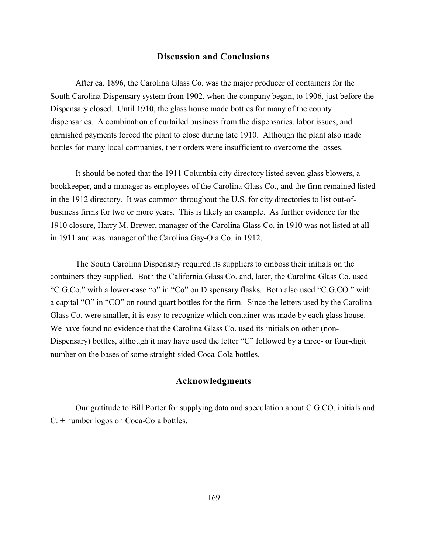### **Discussion and Conclusions**

After ca. 1896, the Carolina Glass Co. was the major producer of containers for the South Carolina Dispensary system from 1902, when the company began, to 1906, just before the Dispensary closed. Until 1910, the glass house made bottles for many of the county dispensaries. A combination of curtailed business from the dispensaries, labor issues, and garnished payments forced the plant to close during late 1910. Although the plant also made bottles for many local companies, their orders were insufficient to overcome the losses.

It should be noted that the 1911 Columbia city directory listed seven glass blowers, a bookkeeper, and a manager as employees of the Carolina Glass Co., and the firm remained listed in the 1912 directory. It was common throughout the U.S. for city directories to list out-ofbusiness firms for two or more years. This is likely an example. As further evidence for the 1910 closure, Harry M. Brewer, manager of the Carolina Glass Co. in 1910 was not listed at all in 1911 and was manager of the Carolina Gay-Ola Co. in 1912.

The South Carolina Dispensary required its suppliers to emboss their initials on the containers they supplied. Both the California Glass Co. and, later, the Carolina Glass Co. used "C.G.Co." with a lower-case "o" in "Co" on Dispensary flasks. Both also used "C.G.CO." with a capital "O" in "CO" on round quart bottles for the firm. Since the letters used by the Carolina Glass Co. were smaller, it is easy to recognize which container was made by each glass house. We have found no evidence that the Carolina Glass Co. used its initials on other (non-Dispensary) bottles, although it may have used the letter "C" followed by a three- or four-digit number on the bases of some straight-sided Coca-Cola bottles.

## **Acknowledgments**

Our gratitude to Bill Porter for supplying data and speculation about C.G.CO. initials and C. + number logos on Coca-Cola bottles.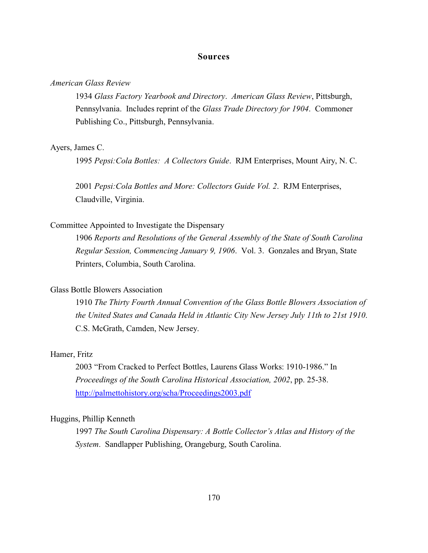#### **Sources**

#### *American Glass Review*

1934 *Glass Factory Yearbook and Directory*. *American Glass Review*, Pittsburgh, Pennsylvania. Includes reprint of the *Glass Trade Directory for 1904*. Commoner Publishing Co., Pittsburgh, Pennsylvania.

#### Ayers, James C.

1995 *Pepsi:Cola Bottles: A Collectors Guide*. RJM Enterprises, Mount Airy, N. C.

2001 *Pepsi:Cola Bottles and More: Collectors Guide Vol. 2*. RJM Enterprises, Claudville, Virginia.

## Committee Appointed to Investigate the Dispensary

1906 *Reports and Resolutions of the General Assembly of the State of South Carolina Regular Session, Commencing January 9, 1906*. Vol. 3. Gonzales and Bryan, State Printers, Columbia, South Carolina.

### Glass Bottle Blowers Association

1910 *The Thirty Fourth Annual Convention of the Glass Bottle Blowers Association of the United States and Canada Held in Atlantic City New Jersey July 11th to 21st 1910*. C.S. McGrath, Camden, New Jersey.

#### Hamer, Fritz

2003 "From Cracked to Perfect Bottles, Laurens Glass Works: 1910-1986." In *Proceedings of the South Carolina Historical Association, 2002*, pp. 25-38. <http://palmettohistory.org/scha/Proceedings2003.pdf>

## Huggins, Phillip Kenneth

1997 *The South Carolina Dispensary: A Bottle Collector's Atlas and History of the System*. Sandlapper Publishing, Orangeburg, South Carolina.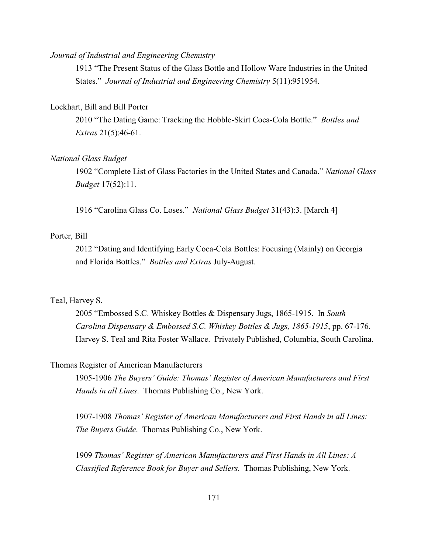#### *Journal of Industrial and Engineering Chemistry*

1913 "The Present Status of the Glass Bottle and Hollow Ware Industries in the United States." *Journal of Industrial and Engineering Chemistry* 5(11):951954.

## Lockhart, Bill and Bill Porter

2010 "The Dating Game: Tracking the Hobble-Skirt Coca-Cola Bottle." *Bottles and Extras* 21(5):46-61.

### *National Glass Budget*

1902 "Complete List of Glass Factories in the United States and Canada." *National Glass Budget* 17(52):11.

1916 "Carolina Glass Co. Loses." *National Glass Budget* 31(43):3. [March 4]

### Porter, Bill

2012 "Dating and Identifying Early Coca-Cola Bottles: Focusing (Mainly) on Georgia and Florida Bottles." *Bottles and Extras* July-August.

### Teal, Harvey S.

2005 "Embossed S.C. Whiskey Bottles & Dispensary Jugs, 1865-1915. In *South Carolina Dispensary & Embossed S.C. Whiskey Bottles & Jugs, 1865-1915*, pp. 67-176. Harvey S. Teal and Rita Foster Wallace. Privately Published, Columbia, South Carolina.

#### Thomas Register of American Manufacturers

1905-1906 *The Buyers' Guide: Thomas' Register of American Manufacturers and First Hands in all Lines*. Thomas Publishing Co., New York.

1907-1908 *Thomas' Register of American Manufacturers and First Hands in all Lines: The Buyers Guide*. Thomas Publishing Co., New York.

1909 *Thomas' Register of American Manufacturers and First Hands in All Lines: A Classified Reference Book for Buyer and Sellers*. Thomas Publishing, New York.